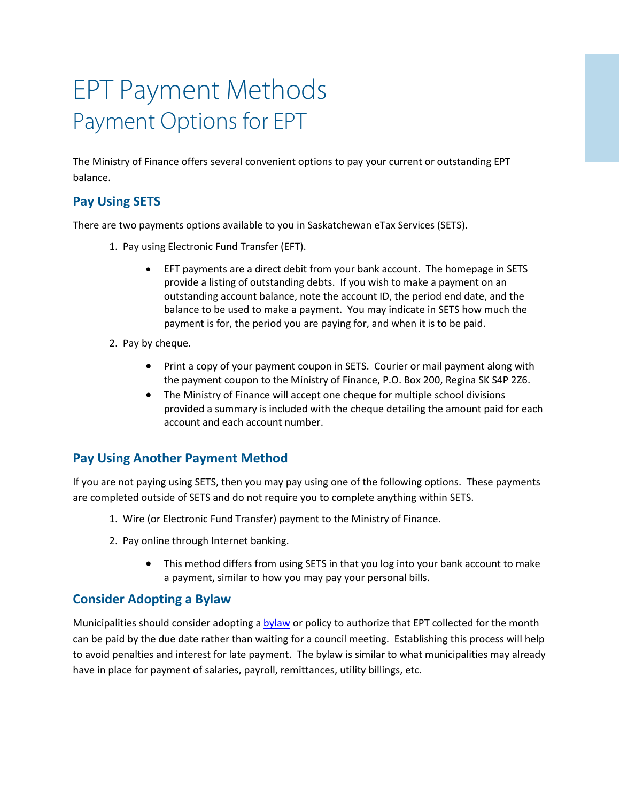# EPT Payment Methods Payment Options for EPT

The Ministry of Finance offers several convenient options to pay your current or outstanding EPT balance.

## **Pay Using SETS**

There are two payments options available to you in Saskatchewan eTax Services (SETS).

- 1. Pay using Electronic Fund Transfer (EFT).
	- EFT payments are a direct debit from your bank account. The homepage in SETS provide a listing of outstanding debts. If you wish to make a payment on an outstanding account balance, note the account ID, the period end date, and the balance to be used to make a payment. You may indicate in SETS how much the payment is for, the period you are paying for, and when it is to be paid.
- 2. Pay by cheque.
	- Print a copy of your payment coupon in SETS. Courier or mail payment along with the payment coupon to the Ministry of Finance, P.O. Box 200, Regina SK S4P 2Z6.
	- The Ministry of Finance will accept one cheque for multiple school divisions provided a summary is included with the cheque detailing the amount paid for each account and each account number.

## **Pay Using Another Payment Method**

If you are not paying using SETS, then you may pay using one of the following options. These payments are completed outside of SETS and do not require you to complete anything within SETS.

- 1. Wire (or Electronic Fund Transfer) payment to the Ministry of Finance.
- 2. Pay online through Internet banking.
	- This method differs from using SETS in that you log into your bank account to make a payment, similar to how you may pay your personal bills.

## **Consider Adopting a Bylaw**

Municipalities should consider adoptin[g a bylaw](https://publications.saskatchewan.ca/#/products/79393) or policy to authorize that EPT collected for the month can be paid by the due date rather than waiting for a council meeting. Establishing this process will help to avoid penalties and interest for late payment. The bylaw is similar to what municipalities may already have in place for payment of salaries, payroll, remittances, utility billings, etc.